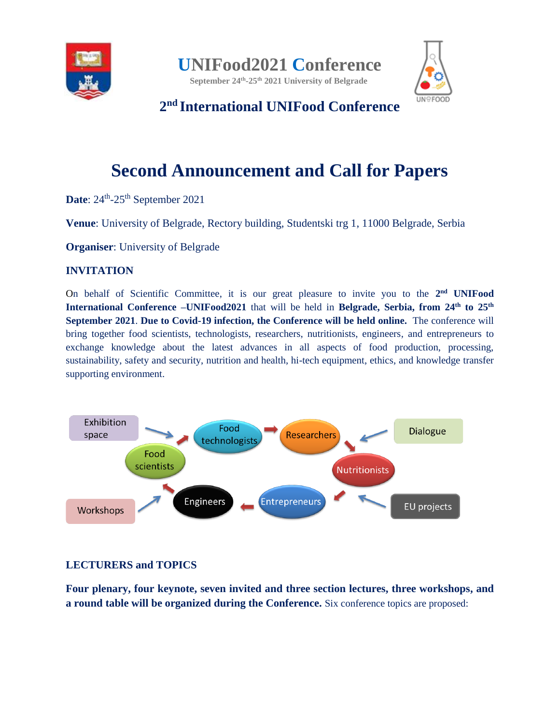

**[UNIFood2021](http://unifood.rect.bg.ac.rs/index.php) Conference**

**September 24 th -25 th 2021 University of Belgrade**



**2 nd International UNIFood Conference**

# **Second Announcement and Call for Papers**

Date: 24<sup>th</sup>-25<sup>th</sup> September 2021

**Venue**: University of Belgrade, Rectory building, Studentski trg 1, 11000 Belgrade, Serbia

**Organiser**: University of Belgrade

#### **INVITATION**

On behalf of Scientific Committee, it is our great pleasure to invite you to the 2<sup>nd</sup> UNIFood **International Conference –UNIFood2021** that will be held in **Belgrade**, Serbia, from 24<sup>th</sup> to 25<sup>th</sup> **September 2021**. **Due to Covid-19 infection, the Conference will be held online.** The conference will bring together food scientists, technologists, researchers, nutritionists, engineers, and entrepreneurs to exchange knowledge about the latest advances in all aspects of food production, processing, sustainability, safety and security, nutrition and health, hi-tech equipment, ethics, and knowledge transfer supporting environment.



## **LECTURERS and TOPICS**

**Four plenary, four keynote, seven invited and three section lectures, three workshops, and a round table will be organized during the Conference.** Six conference topics are proposed: